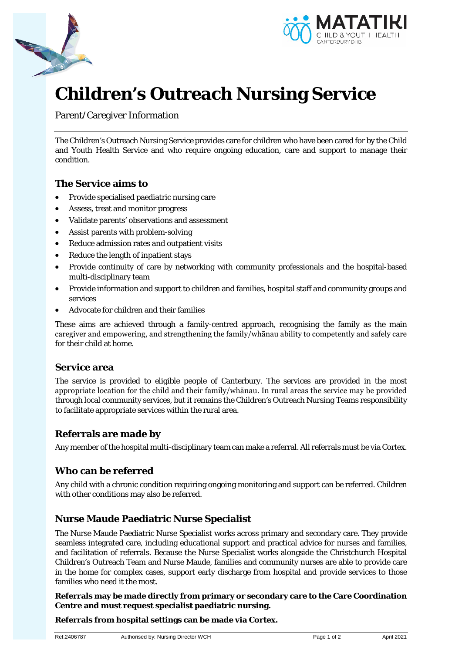



# **Children's Outreach Nursing Service**

Parent/Caregiver Information

The Children's Outreach Nursing Service provides care for children who have been cared for by the Child and Youth Health Service and who require ongoing education, care and support to manage their condition.

#### **The Service aims to**

- Provide specialised paediatric nursing care
- Assess, treat and monitor progress
- Validate parents' observations and assessment
- Assist parents with problem-solving
- Reduce admission rates and outpatient visits
- Reduce the length of inpatient stays
- Provide continuity of care by networking with community professionals and the hospital-based multi-disciplinary team
- Provide information and support to children and families, hospital staff and community groups and services
- Advocate for children and their families

These aims are achieved through a family-centred approach, recognising the family as the main caregiver and empowering, and strengthening the family/whānau ability to competently and safely care for their child at home.

#### **Service area**

The service is provided to eligible people of Canterbury. The services are provided in the most appropriate location for the child and their family/whānau. In rural areas the service may be provided through local community services, but it remains the Children's Outreach Nursing Teams responsibility to facilitate appropriate services within the rural area.

## **Referrals are made by**

Any member of the hospital multi-disciplinary team can make a referral. All referrals must be via Cortex.

## **Who can be referred**

Any child with a chronic condition requiring ongoing monitoring and support can be referred. Children with other conditions may also be referred.

## **Nurse Maude Paediatric Nurse Specialist**

The Nurse Maude Paediatric Nurse Specialist works across primary and secondary care. They provide seamless integrated care, including educational support and practical advice for nurses and families, and facilitation of referrals. Because the Nurse Specialist works alongside the Christchurch Hospital Children's Outreach Team and Nurse Maude, families and community nurses are able to provide care in the home for complex cases, support early discharge from hospital and provide services to those families who need it the most.

**Referrals may be made directly from primary or secondary care to the Care Coordination Centre and must request specialist paediatric nursing.** 

**Referrals from hospital settings can be made via Cortex.**